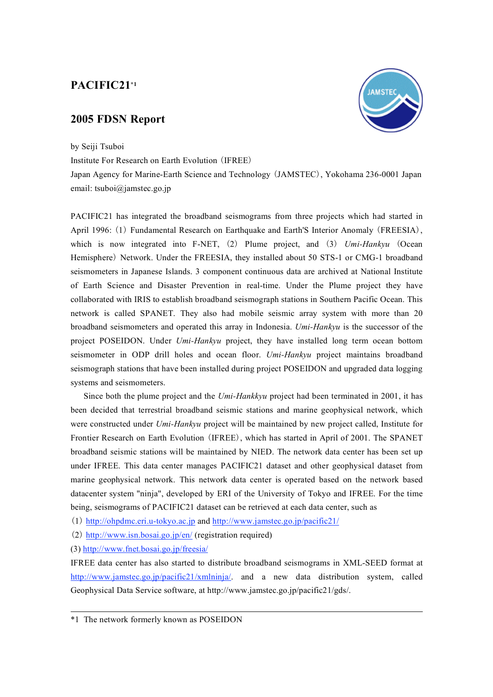### **PACIFIC21\*1**

#### **2005 FDSN Report**



by Seiji Tsuboi

Institute For Research on Earth Evolution (IFREE)

Japan Agency for Marine-Earth Science and Technology (JAMSTEC), Yokohama 236-0001 Japan email: tsuboi@jamstec.go.jp

PACIFIC21 has integrated the broadband seismograms from three projects which had started in April 1996: (1) Fundamental Research on Earthquake and Earth'S Interior Anomaly (FREESIA), which is now integrated into F-NET, (2) Plume project, and (3) *Umi-Hankyu* (Ocean Hemisphere) Network. Under the FREESIA, they installed about 50 STS-1 or CMG-1 broadband seismometers in Japanese Islands. 3 component continuous data are archived at National Institute of Earth Science and Disaster Prevention in real-time. Under the Plume project they have collaborated with IRIS to establish broadband seismograph stations in Southern Pacific Ocean. This network is called SPANET. They also had mobile seismic array system with more than 20 broadband seismometers and operated this array in Indonesia. *Umi-Hankyu* is the successor of the project POSEIDON. Under *Umi-Hankyu* project, they have installed long term ocean bottom seismometer in ODP drill holes and ocean floor. *Umi-Hankyu* project maintains broadband seismograph stations that have been installed during project POSEIDON and upgraded data logging systems and seismometers.

Since both the plume project and the *Umi-Hankkyu* project had been terminated in 2001, it has been decided that terrestrial broadband seismic stations and marine geophysical network, which were constructed under *Umi-Hankyu* project will be maintained by new project called, Institute for Frontier Research on Earth Evolution (IFREE), which has started in April of 2001. The SPANET broadband seismic stations will be maintained by NIED. The network data center has been set up under IFREE. This data center manages PACIFIC21 dataset and other geophysical dataset from marine geophysical network. This network data center is operated based on the network based datacenter system "ninja", developed by ERI of the University of Tokyo and IFREE. For the time being, seismograms of PACIFIC21 dataset can be retrieved at each data center, such as

(1) http://ohpdmc.eri.u-tokyo.ac.jp and http://www.jamstec.go.jp/pacific21/

(2) http://www.isn.bosai.go.jp/en/ (registration required)

(3) http://www.fnet.bosai.go.jp/freesia/

IFREE data center has also started to distribute broadband seismograms in XML-SEED format at http://www.jamstec.go.jp/pacific21/xmlninja/. and a new data distribution system, called Geophysical Data Service software, at http://www.jamstec.go.jp/pacific21/gds/.

<sup>\*1</sup> The network formerly known as POSEIDON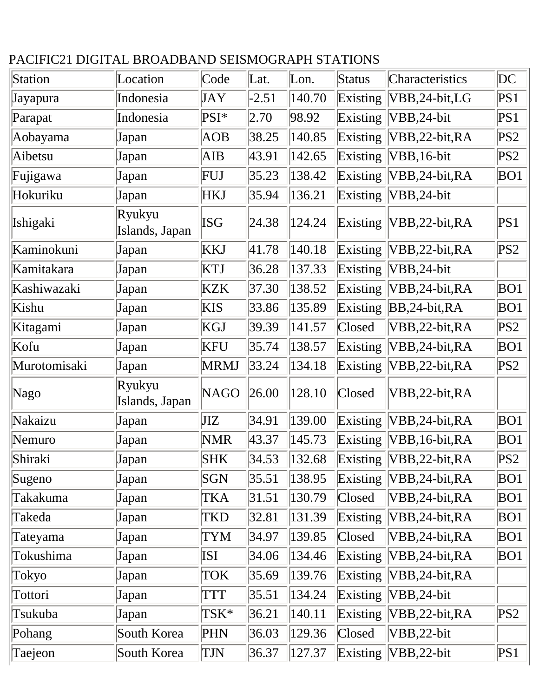## PACIFIC21 DIGITAL BROADBAND SEISMOGRAPH STATIONS

| Station      | Location                 | Code        | Lat.    | $\lfloor$ Lon. | Status   | Characteristics    | DC              |
|--------------|--------------------------|-------------|---------|----------------|----------|--------------------|-----------------|
| Jayapura     | Indonesia                | JAY         | $-2.51$ | 140.70         | Existing | VBB,24-bit,LG      | PS1             |
| Parapat      | Indonesia                | PSI*        | 2.70    | 98.92          | Existing | VBB,24-bit         | PS1             |
| Aobayama     | Japan                    | AOB         | 38.25   | 140.85         | Existing | VBB,22-bit,RA      | PS <sub>2</sub> |
| Aibetsu      | Japan                    | AIB         | 43.91   | 142.65         | Existing | VBB, 16-bit        | PS2             |
| Fujigawa     | Japan                    | FUJ         | 35.23   | 138.42         | Existing | VBB,24-bit,RA      | BO1             |
| Hokuriku     | Japan                    | <b>HKJ</b>  | 35.94   | 136.21         | Existing | $VBB, 24-bit$      |                 |
| Ishigaki     | Ryukyu<br>Islands, Japan | ISG         | 24.38   | 124.24         | Existing | $VBB, 22-bit, RA$  | PS1             |
| Kaminokuni   | Japan                    | <b>KKJ</b>  | 41.78   | 140.18         | Existing | $VBB, 22-bit, RA$  | PS2             |
| Kamitakara   | Japan                    | <b>KTJ</b>  | 36.28   | 137.33         | Existing | $VBB, 24-bit$      |                 |
| Kashiwazaki  | Japan                    | <b>KZK</b>  | 37.30   | 138.52         | Existing | VBB, 24-bit, RA    | BO1             |
| Kishu        | Japan                    | <b>KIS</b>  | 33.86   | 135.89         | Existing | $BB,24-bit, RA$    | BO1             |
| Kitagami     | Japan                    | <b>KGJ</b>  | 39.39   | 141.57         | Closed   | VBB,22-bit,RA      | PS2             |
| Kofu         | Japan                    | <b>KFU</b>  | 35.74   | 138.57         | Existing | VBB,24-bit,RA      | BO1             |
| Murotomisaki | Japan                    | <b>MRMJ</b> | 33.24   | 134.18         | Existing | VBB,22-bit,RA      | PS2             |
| Nago         | Ryukyu<br>Islands, Japan | <b>NAGO</b> | 26.00   | 128.10         | Closed   | VBB,22-bit,RA      |                 |
| Nakaizu      | Japan                    | JIZ         | 34.91   | 139.00         | Existing | VBB,24-bit,RA      | BO1             |
| Nemuro       | Japan                    | <b>NMR</b>  | 43.37   | 145.73         | Existing | VBB, 16-bit, RA    | BO1             |
| Shiraki      | Japan                    | SHK         | 34.53   | 132.68         | Existing | $ VBB, 22-bit, RA$ | PS2             |
| Sugeno       | Japan                    | SGN         | 35.51   | 138.95         | Existing | $VBB, 24-bit, RA$  | BO1             |
| Takakuma     | Japan                    | TKA         | 31.51   | 130.79         | Closed   | VBB,24-bit,RA      | BO1             |
| Takeda       | Japan                    | TKD         | 32.81   | 131.39         | Existing | $VBB, 24-bit, RA$  | BO1             |
| Tateyama     | Japan                    | TYM         | 34.97   | 139.85         | Closed   | VBB,24-bit,RA      | BO1             |
| Tokushima    | Japan                    | ISI         | 34.06   | 134.46         | Existing | VBB,24-bit,RA      | BO1             |
| Tokyo        | Japan                    | TOK         | 35.69   | 139.76         | Existing | VBB,24-bit,RA      |                 |
| Tottori      | Japan                    | TTT         | 35.51   | 134.24         | Existing | VBB,24-bit         |                 |
| Tsukuba      | Japan                    | TSK*        | 36.21   | 140.11         | Existing | VBB,22-bit,RA      | PS2             |
| Pohang       | South Korea              | PHN         | 36.03   | 129.36         | Closed   | VBB,22-bit         |                 |
| Taejeon      | South Korea              | TJN         | 36.37   | 127.37         | Existing | $VBB, 22-bit$      | PS1             |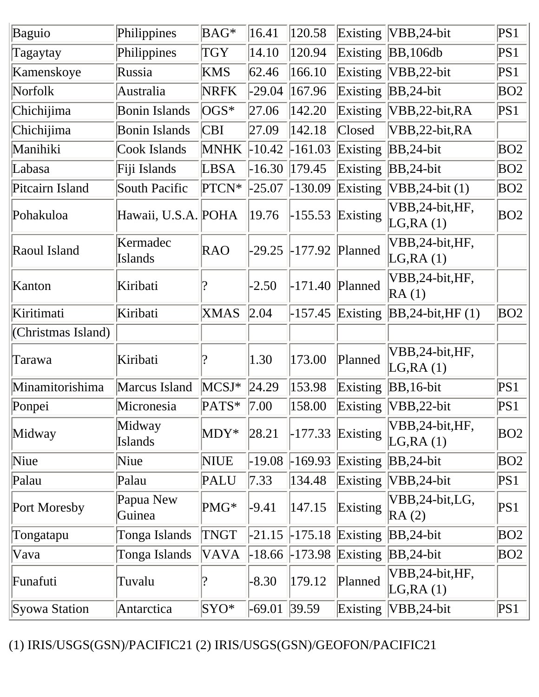| Baguio             | Philippines                | BAG*                     | 16.41    | 120.58    | Existing | $ VBB, 24-bit$                | PS1 |
|--------------------|----------------------------|--------------------------|----------|-----------|----------|-------------------------------|-----|
| Tagaytay           | Philippines                | <b>TGY</b>               | 14.10    | 120.94    |          | Existing $ BB, 106db$         | PS1 |
| Kamenskoye         | Russia                     | <b>KMS</b>               | 62.46    | 166.10    | Existing | $VBB, 22-bit$                 | PS1 |
| Norfolk            | Australia                  | <b>NRFK</b>              | $-29.04$ | 167.96    | Existing | $BB,24-bit$                   | BO2 |
| Chichijima         | <b>Bonin Islands</b>       | $\overline{\text{OGS*}}$ | 27.06    | 142.20    | Existing | VBB,22-bit,RA                 | PS1 |
| Chichijima         | <b>Bonin Islands</b>       | <b>CBI</b>               | 27.09    | 142.18    | Closed   | VBB,22-bit,RA                 |     |
| Manihiki           | Cook Islands               | <b>MNHK</b>              | $-10.42$ | $-161.03$ | Existing | $BB,24-bit$                   | BO2 |
| Labasa             | Fiji Islands               | LBSA                     | $-16.30$ | 179.45    | Existing | $BB,24-bit$                   | BO2 |
| Pitcairn Island    | South Pacific              | PTCN*                    | $-25.07$ | $-130.09$ | Existing | $VBB, 24-bit (1)$             | BO2 |
| Pohakuloa          | Hawaii, U.S.A. POHA        |                          | 19.76    | $-155.53$ | Existing | VBB, 24-bit, HF,<br>LG, RA(1) | BO2 |
| Raoul Island       | Kermadec<br><b>Islands</b> | RAO                      | $-29.25$ | $-177.92$ | Planned  | VBB, 24-bit, HF,<br>LG, RA(1) |     |
| Kanton             | Kiribati                   |                          | $-2.50$  | $-171.40$ | Planned  | VBB, 24-bit, HF,<br>RA(1)     |     |
| Kiritimati         | Kiribati                   | <b>XMAS</b>              | 2.04     | $-157.45$ | Existing | $BB,24-bit, HF(1)$            | BO2 |
| (Christmas Island) |                            |                          |          |           |          |                               |     |
| Tarawa             | Kiribati                   |                          | 1.30     | 173.00    | Planned  | VBB, 24-bit, HF,<br>LG, RA(1) |     |
| Minamitorishima    | Marcus Island              | $MCSJ*$                  | 24.29    | 153.98    | Existing | $BB,16-bit$                   | PS1 |
| Ponpei             | Micronesia                 | PATS*                    | 7.00     | 158.00    | Existing | $VBB$ , 22-bit                | PS1 |
| Midway             | Midway<br><b>Islands</b>   | $MDY^*$                  | 28.21    | $-177.33$ | Existing | VBB,24-bit,HF,<br>LG, RA(1)   | BO2 |
| Niue               | Niue                       | <b>NIUE</b>              | $-19.08$ | $-169.93$ | Existing | $ BB, 24$ -bit                | BO2 |
| Palau              | Palau                      | PALU                     | 7.33     | 134.48    | Existing | VBB,24-bit                    | PS1 |
| Port Moresby       | Papua New<br>Guinea        | PMG*                     | $-9.41$  | 147.15    | Existing | VBB,24-bit,LG,<br>RA(2)       | PS1 |
| Tongatapu          | Tonga Islands              | <b>TNGT</b>              | $-21.15$ | $-175.18$ | Existing | $BB,24-bit$                   | BO2 |
| Vava               | Tonga Islands              | VAVA                     | $-18.66$ | $-173.98$ | Existing | $BB,24-bit$                   | BO2 |
| Funafuti           | Tuvalu                     |                          | $-8.30$  | 179.12    | Planned  | VBB, 24-bit, HF,<br>LG, RA(1) |     |
| Syowa Station      | Antarctica                 | $SYO^*$                  | $-69.01$ | 39.59     | Existing | $VBB, 24-bit$                 | PS1 |

(1) IRIS/USGS(GSN)/PACIFIC21 (2) IRIS/USGS(GSN)/GEOFON/PACIFIC21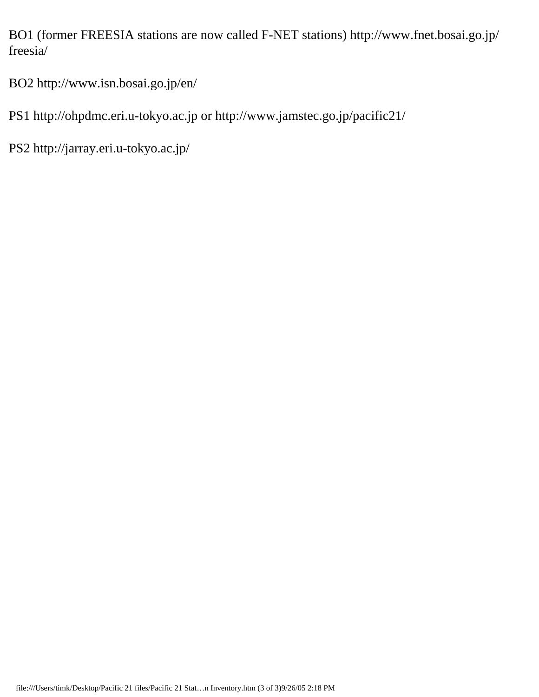BO1 (former FREESIA stations are now called F-NET stations) http://www.fnet.bosai.go.jp/ freesia/

BO2 http://www.isn.bosai.go.jp/en/

PS1 http://ohpdmc.eri.u-tokyo.ac.jp or http://www.jamstec.go.jp/pacific21/

PS2 http://jarray.eri.u-tokyo.ac.jp/